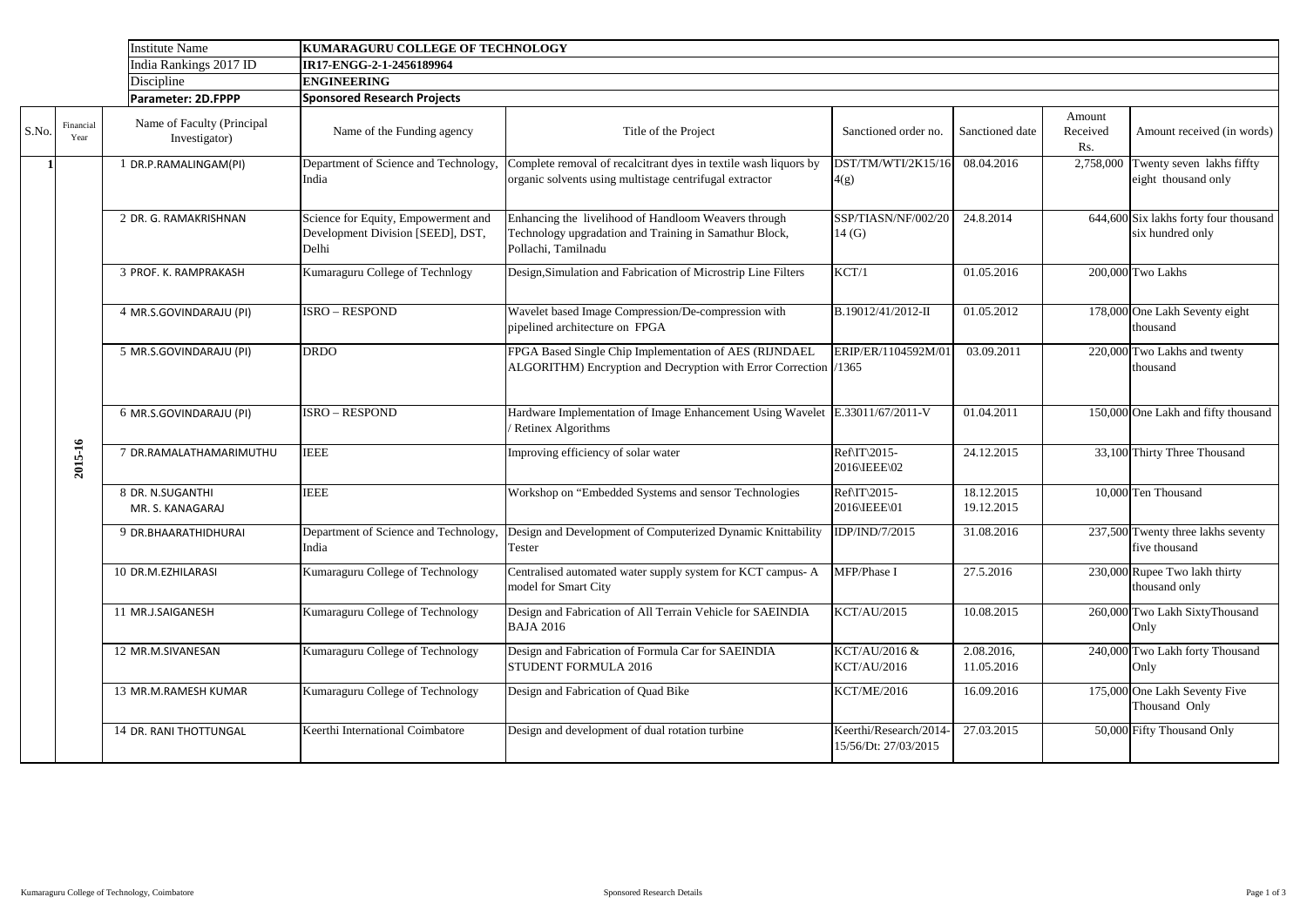|       |                   | <b>Institute Name</b>                       | KUMARAGURU COLLEGE OF TECHNOLOGY                                                  |                                                                                                                                       |                                               |                          |                           |                                                           |
|-------|-------------------|---------------------------------------------|-----------------------------------------------------------------------------------|---------------------------------------------------------------------------------------------------------------------------------------|-----------------------------------------------|--------------------------|---------------------------|-----------------------------------------------------------|
|       |                   | India Rankings 2017 ID                      | IR17-ENGG-2-1-2456189964                                                          |                                                                                                                                       |                                               |                          |                           |                                                           |
|       |                   | Discipline                                  | <b>ENGINEERING</b>                                                                |                                                                                                                                       |                                               |                          |                           |                                                           |
|       |                   | Parameter: 2D.FPPP                          | <b>Sponsored Research Projects</b>                                                |                                                                                                                                       |                                               |                          |                           |                                                           |
| S.No. | Financial<br>Year | Name of Faculty (Principal<br>Investigator) | Name of the Funding agency                                                        | Title of the Project                                                                                                                  | Sanctioned order no.                          | Sanctioned date          | Amount<br>Received<br>Rs. | Amount received (in words)                                |
|       |                   | DR.P.RAMALINGAM(PI)                         | Department of Science and Technology<br>India                                     | Complete removal of recalcitrant dyes in textile wash liquors by<br>organic solvents using multistage centrifugal extractor           | DST/TM/WTI/2K15/16<br>4(g)                    | 08.04.2016               |                           | 2,758,000 Twenty seven lakhs fifty<br>eight thousand only |
|       |                   | 2 DR. G. RAMAKRISHNAN                       | Science for Equity, Empowerment and<br>Development Division [SEED], DST,<br>Delhi | Enhancing the livelihood of Handloom Weavers through<br>Technology upgradation and Training in Samathur Block,<br>Pollachi, Tamilnadu | SSP/TIASN/NF/002/20<br>14(G)                  | 24.8.2014                |                           | 644,600 Six lakhs forty four thousand<br>six hundred only |
|       |                   | 3 PROF. K. RAMPRAKASH                       | Kumaraguru College of Technlogy                                                   | Design, Simulation and Fabrication of Microstrip Line Filters                                                                         | KCT/1                                         | 01.05.2016               |                           | 200,000 Two Lakhs                                         |
|       |                   | 4 MR.S.GOVINDARAJU (PI)                     | <b>ISRO - RESPOND</b>                                                             | Wavelet based Image Compression/De-compression with<br>pipelined architecture on FPGA                                                 | B.19012/41/2012-II                            | 01.05.2012               |                           | 178,000 One Lakh Seventy eight<br>thousand                |
|       |                   | 5 MR.S.GOVINDARAJU (PI)                     | <b>DRDO</b>                                                                       | FPGA Based Single Chip Implementation of AES (RIJNDAEL<br>ALGORITHM) Encryption and Decryption with Error Correction  /1365           | ERIP/ER/1104592M/01                           | 03.09.2011               |                           | 220,000 Two Lakhs and twenty<br>thousand                  |
|       |                   | 6 MR.S.GOVINDARAJU (PI)                     | <b>ISRO - RESPOND</b>                                                             | Hardware Implementation of Image Enhancement Using Wavelet E.33011/67/2011-V<br><b>Retinex Algorithms</b>                             |                                               | 01.04.2011               |                           | 150,000 One Lakh and fifty thousand                       |
|       | 2015-16           | 7 DR.RAMALATHAMARIMUTHU                     | <b>IEEE</b>                                                                       | Improving efficiency of solar water                                                                                                   | Ref\IT\2015-<br>2016\IEEE\02                  | 24.12.2015               |                           | 33,100 Thirty Three Thousand                              |
|       |                   | 8 DR. N.SUGANTHI<br>MR. S. KANAGARAJ        | <b>IEEE</b>                                                                       | Workshop on "Embedded Systems and sensor Technologies                                                                                 | Ref\IT\2015-<br>2016\IEEE\01                  | 18.12.2015<br>19.12.2015 |                           | 10,000 Ten Thousand                                       |
|       |                   | 9 DR.BHAARATHIDHURAI                        | India                                                                             | Department of Science and Technology, Design and Development of Computerized Dynamic Knittability IDP/IND/7/2015<br>Tester            |                                               | 31.08.2016               |                           | 237,500 Twenty three lakhs seventy<br>five thousand       |
|       |                   | 10 DR.M.EZHILARASI                          | Kumaraguru College of Technology                                                  | Centralised automated water supply system for KCT campus-A<br>model for Smart City                                                    | MFP/Phase I                                   | 27.5.2016                |                           | 230,000 Rupee Two lakh thirty<br>thousand only            |
|       |                   | 11 MR.J.SAIGANESH                           | Kumaraguru College of Technology                                                  | Design and Fabrication of All Terrain Vehicle for SAEINDIA<br><b>BAJA 2016</b>                                                        | <b>KCT/AU/2015</b>                            | 10.08.2015               |                           | 260,000 Two Lakh SixtyThousand<br>Only                    |
|       |                   | 12 MR.M.SIVANESAN                           | Kumaraguru College of Technology                                                  | Design and Fabrication of Formula Car for SAEINDIA<br><b>STUDENT FORMULA 2016</b>                                                     | KCT/AU/2016 &<br><b>KCT/AU/2016</b>           | 2.08.2016,<br>11.05.2016 |                           | 240,000 Two Lakh forty Thousand<br>Only                   |
|       |                   | 13 MR.M.RAMESH KUMAR                        | Kumaraguru College of Technology                                                  | Design and Fabrication of Quad Bike                                                                                                   | <b>KCT/ME/2016</b>                            | 16.09.2016               |                           | 175,000 One Lakh Seventy Five<br>Thousand Only            |
|       |                   | 14 DR. RANI THOTTUNGAL                      | Keerthi International Coimbatore                                                  | Design and development of dual rotation turbine                                                                                       | Keerthi/Research/2014<br>15/56/Dt: 27/03/2015 | 27.03.2015               |                           | 50,000 Fifty Thousand Only                                |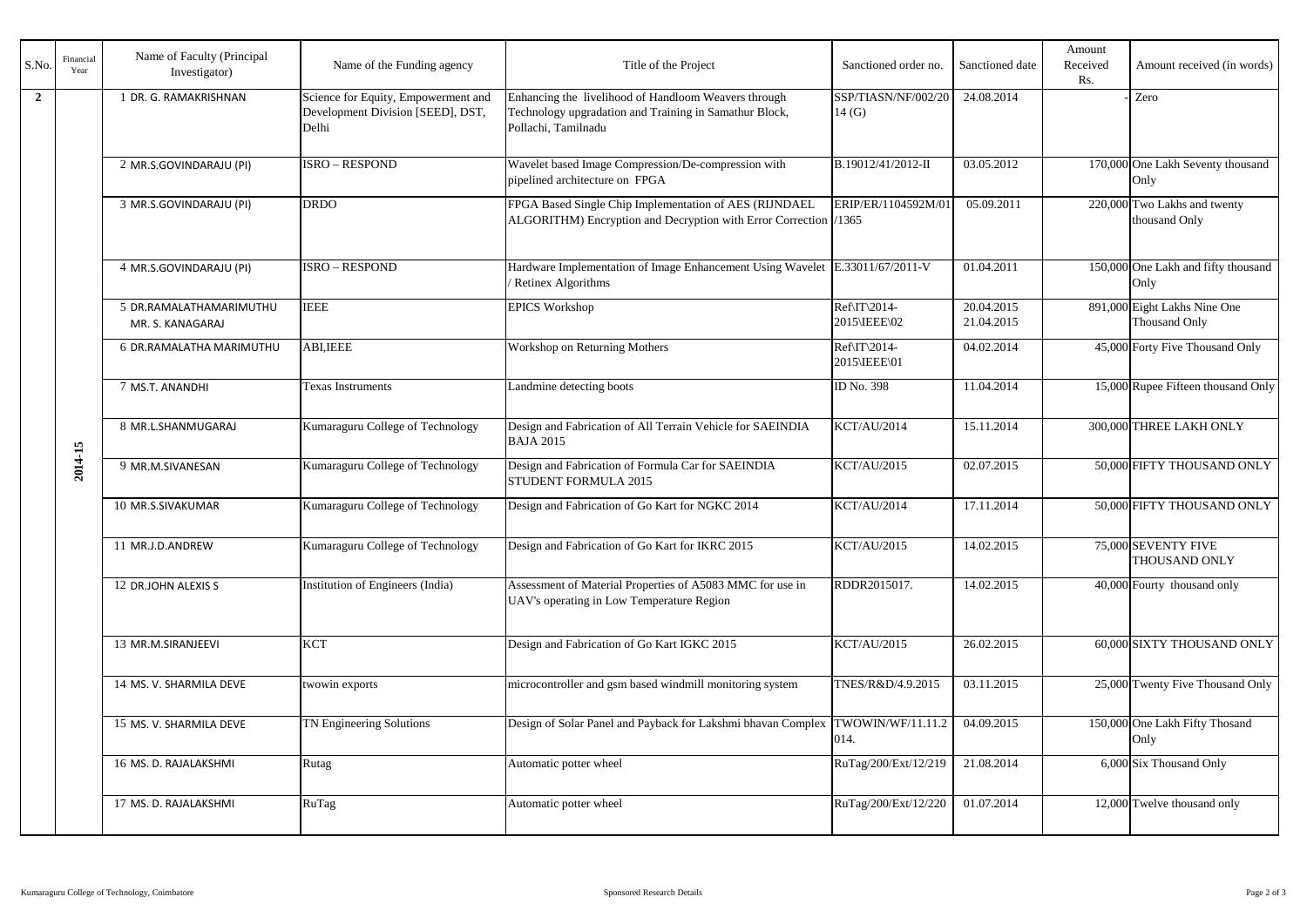| S.No.          | Financial<br>Year | Name of Faculty (Principal<br>Investigator) | Name of the Funding agency                                                        | Title of the Project                                                                                                                  | Sanctioned order no.         | Sanctioned date          | Amount<br>Received<br>Rs. | Amount received (in words)                           |
|----------------|-------------------|---------------------------------------------|-----------------------------------------------------------------------------------|---------------------------------------------------------------------------------------------------------------------------------------|------------------------------|--------------------------|---------------------------|------------------------------------------------------|
| $\overline{2}$ |                   | I DR. G. RAMAKRISHNAN                       | Science for Equity, Empowerment and<br>Development Division [SEED], DST,<br>Delhi | Enhancing the livelihood of Handloom Weavers through<br>Technology upgradation and Training in Samathur Block,<br>Pollachi, Tamilnadu | SSP/TIASN/NF/002/20<br>14(G) | 24.08.2014               |                           | Zero                                                 |
|                |                   | 2 MR.S.GOVINDARAJU (PI)                     | <b>ISRO - RESPOND</b>                                                             | Wavelet based Image Compression/De-compression with<br>pipelined architecture on FPGA                                                 | B.19012/41/2012-II           | 03.05.2012               |                           | 170,000 One Lakh Seventy thousand<br>Only            |
|                |                   | 3 MR.S.GOVINDARAJU (PI)                     | <b>DRDO</b>                                                                       | FPGA Based Single Chip Implementation of AES (RIJNDAEL<br>ALGORITHM) Encryption and Decryption with Error Correction /1365            | ERIP/ER/1104592M/01          | 05.09.2011               |                           | 220,000 Two Lakhs and twenty<br>thousand Only        |
|                |                   | 4 MR.S.GOVINDARAJU (PI)                     | <b>ISRO - RESPOND</b>                                                             | Hardware Implementation of Image Enhancement Using Wavelet E.33011/67/2011-V<br>Retinex Algorithms                                    |                              | 01.04.2011               |                           | 150,000 One Lakh and fifty thousand<br>Only          |
|                |                   | 5 DR.RAMALATHAMARIMUTHU<br>MR. S. KANAGARAJ | <b>IEEE</b>                                                                       | <b>EPICS Workshop</b>                                                                                                                 | Ref\IT\2014-<br>2015\IEEE\02 | 20.04.2015<br>21.04.2015 |                           | 891,000 Eight Lakhs Nine One<br><b>Thousand Only</b> |
|                |                   | 6 DR.RAMALATHA MARIMUTHU                    | <b>ABI, IEEE</b>                                                                  | Workshop on Returning Mothers                                                                                                         | Ref\IT\2014-<br>2015\IEEE\01 | 04.02.2014               |                           | 45,000 Forty Five Thousand Only                      |
|                |                   | 7 MS.T. ANANDHI                             | Texas Instruments                                                                 | Landmine detecting boots                                                                                                              | ID No. 398                   | 11.04.2014               |                           | 15,000 Rupee Fifteen thousand Only                   |
|                | πÚ<br>2014        | 8 MR.L.SHANMUGARAJ                          | Kumaraguru College of Technology                                                  | Design and Fabrication of All Terrain Vehicle for SAEINDIA<br><b>BAJA 2015</b>                                                        | <b>KCT/AU/2014</b>           | 15.11.2014               |                           | 300,000 THREE LAKH ONLY                              |
|                |                   | 9 MR.M.SIVANESAN                            | Kumaraguru College of Technology                                                  | Design and Fabrication of Formula Car for SAEINDIA<br><b>STUDENT FORMULA 2015</b>                                                     | <b>KCT/AU/2015</b>           | 02.07.2015               |                           | 50,000 FIFTY THOUSAND ONLY                           |
|                |                   | 10 MR.S.SIVAKUMAR                           | Kumaraguru College of Technology                                                  | Design and Fabrication of Go Kart for NGKC 2014                                                                                       | <b>KCT/AU/2014</b>           | 17.11.2014               |                           | 50,000 FIFTY THOUSAND ONLY                           |
|                |                   | 11 MR.J.D.ANDREW                            | Kumaraguru College of Technology                                                  | Design and Fabrication of Go Kart for IKRC 2015                                                                                       | <b>KCT/AU/2015</b>           | 14.02.2015               |                           | 75,000 SEVENTY FIVE<br><b>THOUSAND ONLY</b>          |
|                |                   | 12 DR.JOHN ALEXIS S                         | Institution of Engineers (India)                                                  | Assessment of Material Properties of A5083 MMC for use in<br>UAV's operating in Low Temperature Region                                | RDDR2015017.                 | 14.02.2015               |                           | 40,000 Fourty thousand only                          |
|                |                   | 13 MR.M.SIRANJEEVI                          | <b>KCT</b>                                                                        | Design and Fabrication of Go Kart IGKC 2015                                                                                           | <b>KCT/AU/2015</b>           | 26.02.2015               |                           | 60,000 SIXTY THOUSAND ONLY                           |
|                |                   | 14 MS. V. SHARMILA DEVE                     | twowin exports                                                                    | microcontroller and gsm based windmill monitoring system                                                                              | TNES/R&D/4.9.2015            | 03.11.2015               |                           | 25,000 Twenty Five Thousand Only                     |
|                |                   | 15 MS. V. SHARMILA DEVE                     | <b>TN Engineering Solutions</b>                                                   | Design of Solar Panel and Payback for Lakshmi bhavan Complex                                                                          | TWOWIN/WF/11.11.2<br>014.    | 04.09.2015               |                           | 150,000 One Lakh Fifty Thosand<br>Only               |
|                |                   | 16 MS. D. RAJALAKSHMI                       | Rutag                                                                             | Automatic potter wheel                                                                                                                | RuTag/200/Ext/12/219         | 21.08.2014               |                           | 6,000 Six Thousand Only                              |
|                |                   | 17 MS. D. RAJALAKSHMI                       | RuTag                                                                             | Automatic potter wheel                                                                                                                | RuTag/200/Ext/12/220         | 01.07.2014               |                           | 12,000 Twelve thousand only                          |